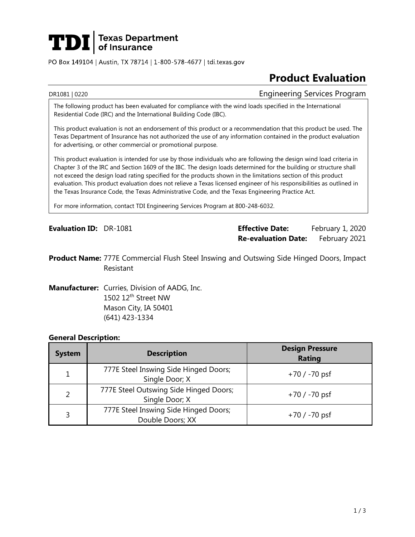

PO Box 149104 | Austin, TX 78714 | 1-800-578-4677 | tdi.texas.gov

# **Product Evaluation**

#### DR1081 | 0220 Engineering Services Program

The following product has been evaluated for compliance with the wind loads specified in the International Residential Code (IRC) and the International Building Code (IBC).

This product evaluation is not an endorsement of this product or a recommendation that this product be used. The Texas Department of Insurance has not authorized the use of any information contained in the product evaluation for advertising, or other commercial or promotional purpose.

This product evaluation is intended for use by those individuals who are following the design wind load criteria in Chapter 3 of the IRC and Section 1609 of the IBC. The design loads determined for the building or structure shall not exceed the design load rating specified for the products shown in the limitations section of this product evaluation. This product evaluation does not relieve a Texas licensed engineer of his responsibilities as outlined in the Texas Insurance Code, the Texas Administrative Code, and the Texas Engineering Practice Act.

For more information, contact TDI Engineering Services Program at 800-248-6032.

**Evaluation ID:** DR-1081 **Effective Date:** February 1, 2020 **Re-evaluation Date:** February 2021

**Product Name:** 777E Commercial Flush Steel Inswing and Outswing Side Hinged Doors, Impact Resistant

**Manufacturer:** Curries, Division of AADG, Inc. 1502 12<sup>th</sup> Street NW Mason City, IA 50401 (641) 423-1334

#### **General Description:**

| <b>System</b> | <b>Description</b>                                        | <b>Design Pressure</b><br><b>Rating</b> |
|---------------|-----------------------------------------------------------|-----------------------------------------|
| 1             | 777E Steel Inswing Side Hinged Doors;<br>Single Door; X   | $+70/ -70$ psf                          |
| 2             | 777E Steel Outswing Side Hinged Doors;<br>Single Door; X  | $+70/ -70$ psf                          |
| 3             | 777E Steel Inswing Side Hinged Doors;<br>Double Doors; XX | $+70/ -70$ psf                          |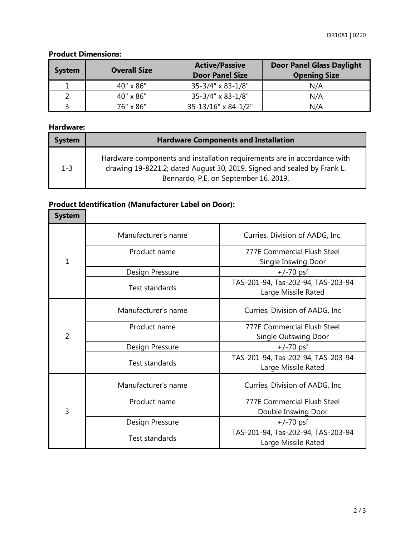## **Product Dimensions:**

| <b>System</b> | <b>Overall Size</b> | <b>Active/Passive</b><br><b>Door Panel Size</b> | <b>Door Panel Glass Daylight</b><br><b>Opening Size</b> |
|---------------|---------------------|-------------------------------------------------|---------------------------------------------------------|
|               | 40" x 86"           | $35 - 3/4$ " x 83-1/8"                          | N/A                                                     |
|               | $40" \times 86"$    | $35 - 3/4$ " x 83-1/8"                          | N/A                                                     |
|               | 76" x 86"           | 35-13/16" x 84-1/2"                             | N/A                                                     |

#### **Hardware:**

| <b>System</b> | <b>Hardware Components and Installation</b>                                                                                                                                                  |  |
|---------------|----------------------------------------------------------------------------------------------------------------------------------------------------------------------------------------------|--|
| $1 - 3$       | Hardware components and installation requirements are in accordance with<br>drawing 19-8221.2; dated August 30, 2019. Signed and sealed by Frank L.<br>Bennardo, P.E. on September 16, 2019. |  |

# **Product Identification (Manufacturer Label on Door):**

| <b>System</b>  |                       |                                                            |
|----------------|-----------------------|------------------------------------------------------------|
| $\overline{1}$ | Manufacturer's name   | Curries, Division of AADG, Inc.                            |
|                | Product name          | <b>777E Commercial Flush Steel</b><br>Single Inswing Door  |
|                | Design Pressure       | $+/-70$ psf                                                |
|                | Test standards        | TAS-201-94, Tas-202-94, TAS-203-94<br>Large Missile Rated  |
| $\overline{2}$ | Manufacturer's name   | Curries, Division of AADG, Inc.                            |
|                | Product name          | <b>777E Commercial Flush Steel</b><br>Single Outswing Door |
|                | Design Pressure       | $+/-70$ psf                                                |
|                | <b>Test standards</b> | TAS-201-94, Tas-202-94, TAS-203-94<br>Large Missile Rated  |
| $\overline{3}$ | Manufacturer's name   | Curries, Division of AADG, Inc.                            |
|                | Product name          | <b>777E Commercial Flush Steel</b>                         |
|                |                       | Double Inswing Door                                        |
|                | Design Pressure       | $+/-70$ psf                                                |
|                | Test standards        | TAS-201-94, Tas-202-94, TAS-203-94<br>Large Missile Rated  |